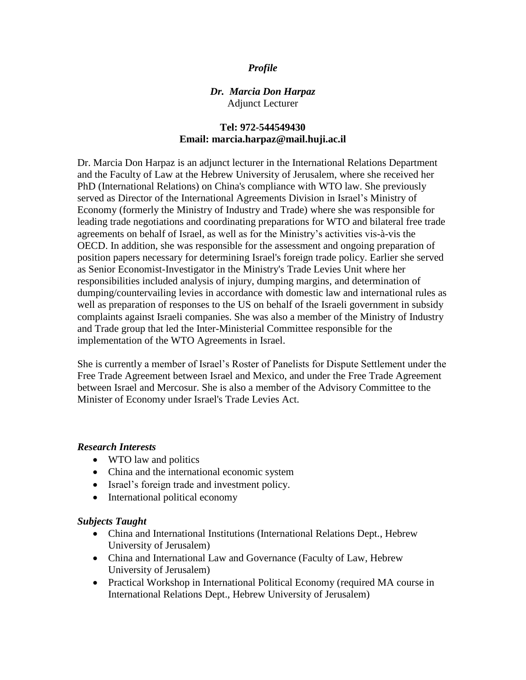# *Profile*

# *Dr. Marcia Don Harpaz* Adjunct Lecturer

# **Tel: 972-544549430 Email: marcia.harpaz@mail.huji.ac.il**

Dr. Marcia Don Harpaz is an adjunct lecturer in the International Relations Department and the Faculty of Law at the Hebrew University of Jerusalem, where she received her PhD (International Relations) on China's compliance with WTO law. She previously served as Director of the International Agreements Division in Israel's Ministry of Economy (formerly the Ministry of Industry and Trade) where she was responsible for leading trade negotiations and coordinating preparations for WTO and bilateral free trade agreements on behalf of Israel, as well as for the Ministry's activities vis-à-vis the OECD. In addition, she was responsible for the assessment and ongoing preparation of position papers necessary for determining Israel's foreign trade policy. Earlier she served as Senior Economist-Investigator in the Ministry's Trade Levies Unit where her responsibilities included analysis of injury, dumping margins, and determination of dumping/countervailing levies in accordance with domestic law and international rules as well as preparation of responses to the US on behalf of the Israeli government in subsidy complaints against Israeli companies. She was also a member of the Ministry of Industry and Trade group that led the Inter-Ministerial Committee responsible for the implementation of the WTO Agreements in Israel.

She is currently a member of Israel's Roster of Panelists for Dispute Settlement under the Free Trade Agreement between Israel and Mexico, and under the Free Trade Agreement between Israel and Mercosur. She is also a member of the Advisory Committee to the Minister of Economy under Israel's Trade Levies Act.

### *Research Interests*

- WTO law and politics
- China and the international economic system
- Israel's foreign trade and investment policy.
- International political economy

#### *Subjects Taught*

- China and International Institutions (International Relations Dept., Hebrew University of Jerusalem)
- China and International Law and Governance (Faculty of Law, Hebrew University of Jerusalem)
- Practical Workshop in International Political Economy (required MA course in International Relations Dept., Hebrew University of Jerusalem)